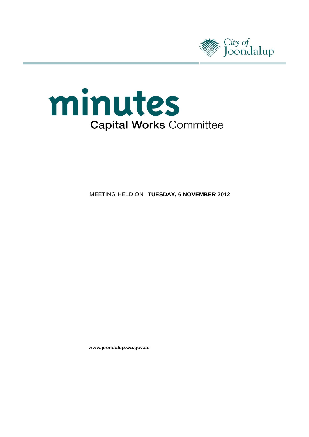



**MEETING HELD ON TUESDAY, 6 NOVEMBER 2012** 

www.joondalup.wa.gov.au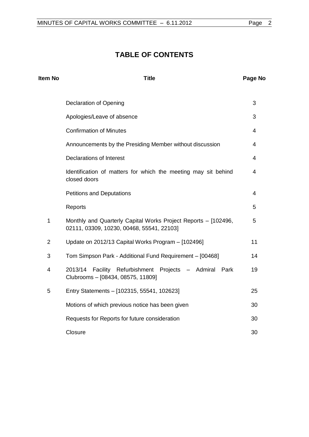# **TABLE OF CONTENTS**

| Item No        | <b>Title</b>                                                                                                |                |  |
|----------------|-------------------------------------------------------------------------------------------------------------|----------------|--|
|                | <b>Declaration of Opening</b>                                                                               | 3              |  |
|                | Apologies/Leave of absence                                                                                  | 3              |  |
|                | <b>Confirmation of Minutes</b>                                                                              | $\overline{4}$ |  |
|                | Announcements by the Presiding Member without discussion                                                    | 4              |  |
|                | <b>Declarations of Interest</b>                                                                             | 4              |  |
|                | Identification of matters for which the meeting may sit behind<br>closed doors                              | 4              |  |
|                | <b>Petitions and Deputations</b>                                                                            | 4              |  |
|                | Reports                                                                                                     | 5              |  |
| 1              | Monthly and Quarterly Capital Works Project Reports - [102496,<br>02111, 03309, 10230, 00468, 55541, 22103] | 5              |  |
| $\overline{2}$ | Update on 2012/13 Capital Works Program - [102496]                                                          | 11             |  |
| 3              | Tom Simpson Park - Additional Fund Requirement - [00468]                                                    | 14             |  |
| 4              | Facility Refurbishment Projects - Admiral<br>2013/14<br>Park<br>Clubrooms - [08434, 08575, 11809]           | 19             |  |
| 5              | Entry Statements - [102315, 55541, 102623]                                                                  | 25             |  |
|                | Motions of which previous notice has been given                                                             | 30             |  |
|                | Requests for Reports for future consideration                                                               | 30             |  |
|                | Closure                                                                                                     | 30             |  |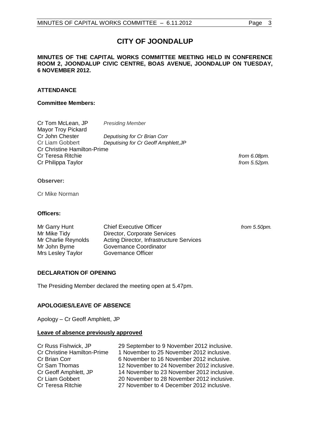# **CITY OF JOONDALUP**

## **MINUTES OF THE CAPITAL WORKS COMMITTEE MEETING HELD IN CONFERENCE ROOM 2, JOONDALUP CIVIC CENTRE, BOAS AVENUE, JOONDALUP ON TUESDAY, 6 NOVEMBER 2012.**

# **ATTENDANCE**

### **Committee Members:**

| Cr Tom McLean, JP                  | <b>Presiding Member</b>              |  |  |
|------------------------------------|--------------------------------------|--|--|
| <b>Mayor Troy Pickard</b>          |                                      |  |  |
| Cr John Chester                    | Deputising for Cr Brian Corr         |  |  |
| Cr Liam Gobbert                    | Deputising for Cr Geoff Amphlett, JP |  |  |
| <b>Cr Christine Hamilton-Prime</b> |                                      |  |  |
| <b>Cr Teresa Ritchie</b>           |                                      |  |  |
| Cr Philippa Taylor                 |                                      |  |  |

from 6.08pm. from 5.52pm.

from 5.50pm.

### **Observer:**

Cr Mike Norman

# **Officers:**

| Mr Garry Hunt       | <b>Chief Executive Officer</b>           |
|---------------------|------------------------------------------|
| Mr Mike Tidy        | Director, Corporate Services             |
| Mr Charlie Reynolds | Acting Director, Infrastructure Services |
| Mr John Byrne       | Governance Coordinator                   |
| Mrs Lesley Taylor   | Governance Officer                       |

# <span id="page-2-0"></span>**DECLARATION OF OPENING**

The Presiding Member declared the meeting open at 5.47pm.

# <span id="page-2-1"></span>**APOLOGIES/LEAVE OF ABSENCE**

Apology – Cr Geoff Amphlett, JP

### **Leave of absence previously approved**

| 29 September to 9 November 2012 inclusive. |
|--------------------------------------------|
| 1 November to 25 November 2012 inclusive.  |
| 6 November to 16 November 2012 inclusive.  |
| 12 November to 24 November 2012 inclusive. |
| 14 November to 23 November 2012 inclusive. |
| 20 November to 28 November 2012 inclusive. |
| 27 November to 4 December 2012 inclusive.  |
|                                            |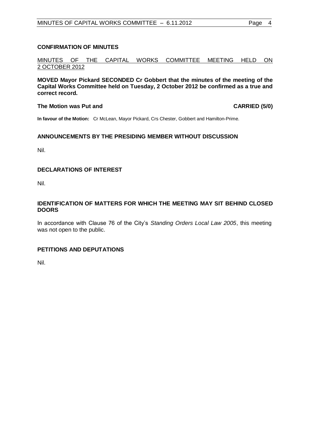# <span id="page-3-0"></span>**CONFIRMATION OF MINUTES**

MINUTES OF THE CAPITAL WORKS COMMITTEE MEETING HELD ON 2 OCTOBER 2012

**MOVED Mayor Pickard SECONDED Cr Gobbert that the minutes of the meeting of the Capital Works Committee held on Tuesday, 2 October 2012 be confirmed as a true and correct record.**

#### **The Motion was Put and CARRIED (5/0)**

**In favour of the Motion:** Cr McLean, Mayor Pickard, Crs Chester, Gobbert and Hamilton-Prime.

# <span id="page-3-1"></span>**ANNOUNCEMENTS BY THE PRESIDING MEMBER WITHOUT DISCUSSION**

Nil.

# <span id="page-3-2"></span>**DECLARATIONS OF INTEREST**

Nil.

# <span id="page-3-3"></span>**IDENTIFICATION OF MATTERS FOR WHICH THE MEETING MAY SIT BEHIND CLOSED DOORS**

In accordance with Clause 76 of the City's *Standing Orders Local Law 2005*, this meeting was not open to the public.

# **PETITIONS AND DEPUTATIONS**

Nil.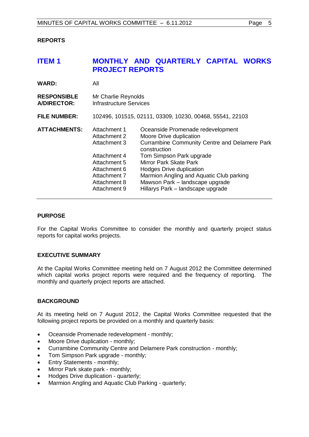# <span id="page-4-0"></span>**REPORTS**

# <span id="page-4-1"></span>**ITEM 1 MONTHLY AND QUARTERLY CAPITAL WORKS PROJECT REPORTS**

| <b>WARD:</b>                             | All                                                                                                                                          |                                                                                                                                                                                                                                                                                                                                                   |  |
|------------------------------------------|----------------------------------------------------------------------------------------------------------------------------------------------|---------------------------------------------------------------------------------------------------------------------------------------------------------------------------------------------------------------------------------------------------------------------------------------------------------------------------------------------------|--|
| <b>RESPONSIBLE</b><br><b>A/DIRECTOR:</b> | Mr Charlie Reynolds<br>Infrastructure Services                                                                                               |                                                                                                                                                                                                                                                                                                                                                   |  |
| <b>FILE NUMBER:</b>                      | 102496, 101515, 02111, 03309, 10230, 00468, 55541, 22103                                                                                     |                                                                                                                                                                                                                                                                                                                                                   |  |
| <b>ATTACHMENTS:</b>                      | Attachment 1<br>Attachment 2<br>Attachment 3<br>Attachment 4<br>Attachment 5<br>Attachment 6<br>Attachment 7<br>Attachment 8<br>Attachment 9 | Oceanside Promenade redevelopment<br>Moore Drive duplication<br><b>Currambine Community Centre and Delamere Park</b><br>construction<br>Tom Simpson Park upgrade<br><b>Mirror Park Skate Park</b><br>Hodges Drive duplication<br>Marmion Angling and Aquatic Club parking<br>Mawson Park - landscape upgrade<br>Hillarys Park - landscape upgrade |  |

### **PURPOSE**

For the Capital Works Committee to consider the monthly and quarterly project status reports for capital works projects.

# **EXECUTIVE SUMMARY**

At the Capital Works Committee meeting held on 7 August 2012 the Committee determined which capital works project reports were required and the frequency of reporting. The monthly and quarterly project reports are attached.

# **BACKGROUND**

At its meeting held on 7 August 2012, the Capital Works Committee requested that the following project reports be provided on a monthly and quarterly basis:

- Oceanside Promenade redevelopment monthly;
- Moore Drive duplication monthly;
- Currambine Community Centre and Delamere Park construction monthly;
- Tom Simpson Park upgrade monthly;
- Entry Statements monthly;
- Mirror Park skate park monthly;
- Hodges Drive duplication quarterly;
- Marmion Angling and Aquatic Club Parking quarterly;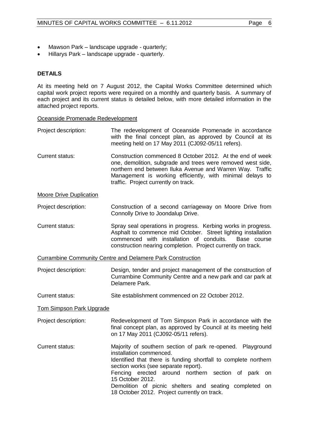- Mawson Park landscape upgrade quarterly;
- Hillarys Park landscape upgrade quarterly.

# **DETAILS**

At its meeting held on 7 August 2012, the Capital Works Committee determined which capital work project reports were required on a monthly and quarterly basis. A summary of each project and its current status is detailed below, with more detailed information in the attached project reports.

#### Oceanside Promenade Redevelopment

- Project description: The redevelopment of Oceanside Promenade in accordance with the final concept plan, as approved by Council at its meeting held on 17 May 2011 (CJ092-05/11 refers).
- Current status: Construction commenced 8 October 2012. At the end of week one, demolition, subgrade and trees were removed west side, northern end between Iluka Avenue and Warren Way. Traffic Management is working efficiently, with minimal delays to traffic. Project currently on track.

### Moore Drive Duplication

Project description: Construction of a second carriageway on Moore Drive from Connolly Drive to Joondalup Drive.

Current status: Spray seal operations in progress. Kerbing works in progress. Asphalt to commence mid October. Street lighting installation commenced with installation of conduits. Base course construction nearing completion. Project currently on track.

Currambine Community Centre and Delamere Park Construction

- Project description: Design, tender and project management of the construction of Currambine Community Centre and a new park and car park at Delamere Park.
- Current status: Site establishment commenced on 22 October 2012.

Tom Simpson Park Upgrade

- Project description: Redevelopment of Tom Simpson Park in accordance with the final concept plan, as approved by Council at its meeting held on 17 May 2011 (CJ092-05/11 refers).
- Current status: Majority of southern section of park re-opened. Playground installation commenced. Identified that there is funding shortfall to complete northern section works (see separate report). Fencing erected around northern section of park on 15 October 2012. Demolition of picnic shelters and seating completed on 18 October 2012. Project currently on track.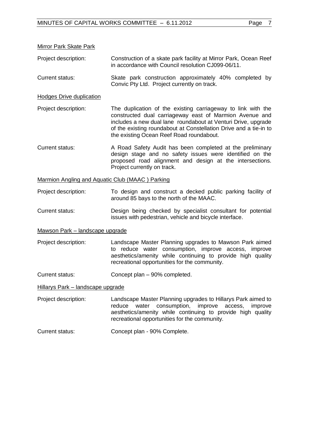## Mirror Park Skate Park

Project description: Construction of a skate park facility at Mirror Park, Ocean Reef in accordance with Council resolution CJ099-06/11.

Current status: Skate park construction approximately 40% completed by Convic Pty Ltd. Project currently on track.

Hodges Drive duplication

Project description: The duplication of the existing carriageway to link with the constructed dual carriageway east of Marmion Avenue and includes a new dual lane roundabout at Venturi Drive, upgrade of the existing roundabout at Constellation Drive and a tie-in to the existing Ocean Reef Road roundabout.

Current status: A Road Safety Audit has been completed at the preliminary design stage and no safety issues were identified on the proposed road alignment and design at the intersections. Project currently on track.

#### Marmion Angling and Aquatic Club (MAAC ) Parking

Project description: To design and construct a decked public parking facility of around 85 bays to the north of the MAAC.

Current status: Design being checked by specialist consultant for potential issues with pedestrian, vehicle and bicycle interface.

#### Mawson Park – landscape upgrade

- Project description: Landscape Master Planning upgrades to Mawson Park aimed to reduce water consumption, improve access, improve aesthetics/amenity while continuing to provide high quality recreational opportunities for the community.
- Current status: Concept plan 90% completed.

#### Hillarys Park – landscape upgrade

Project description: Landscape Master Planning upgrades to Hillarys Park aimed to reduce water consumption, improve access, improve aesthetics/amenity while continuing to provide high quality recreational opportunities for the community.

#### Current status: Concept plan - 90% Complete.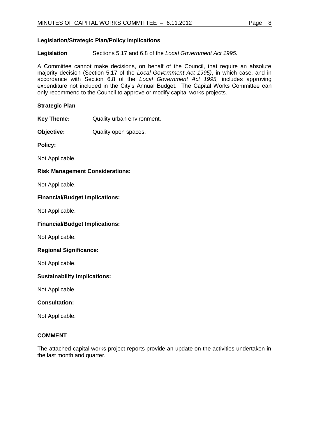**Legislation** Sections 5.17 and 6.8 of the *Local Government Act 1995.*

A Committee cannot make decisions, on behalf of the Council, that require an absolute majority decision (Section 5.17 of the *Local Government Act 1995)*, in which case, and in accordance with Section 6.8 of the *Local Government Act 1995,* includes approving expenditure not included in the City's Annual Budget. The Capital Works Committee can only recommend to the Council to approve or modify capital works projects.

# **Strategic Plan**

**Key Theme:** Quality urban environment.

**Objective:** Quality open spaces.

**Policy:**

Not Applicable.

# **Risk Management Considerations:**

Not Applicable.

# **Financial/Budget Implications:**

Not Applicable.

# **Financial/Budget Implications:**

Not Applicable.

# **Regional Significance:**

Not Applicable.

# **Sustainability Implications:**

Not Applicable.

# **Consultation:**

Not Applicable.

# **COMMENT**

The attached capital works project reports provide an update on the activities undertaken in the last month and quarter.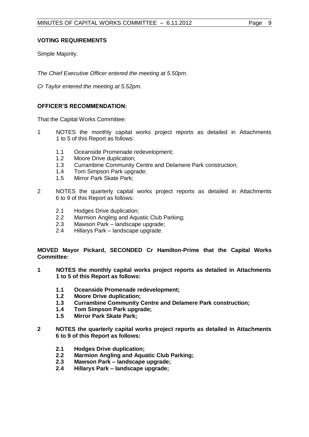Simple Majority.

*The Chief Executive Officer entered the meeting at 5.50pm.*

*Cr Taylor entered the meeting at 5.52pm.*

# **OFFICER'S RECOMMENDATION:**

That the Capital Works Committee:

- 1 NOTES the monthly capital works project reports as detailed in Attachments 1 to 5 of this Report as follows:
	- 1.1 Oceanside Promenade redevelopment;
	- 1.2 Moore Drive duplication;
	- 1.3 Currambine Community Centre and Delamere Park construction;
	- 1.4 Tom Simpson Park upgrade;
	- 1.5 Mirror Park Skate Park;
- 2 NOTES the quarterly capital works project reports as detailed in Attachments 6 to 9 of this Report as follows:
	- 2.1 Hodges Drive duplication;
	- 2.2 Marmion Angling and Aquatic Club Parking;<br>2.3 Mawson Park landscape upgrade:
	- Mawson Park landscape upgrade;
	- 2.4 Hillarys Park landscape upgrade.

**MOVED Mayor Pickard, SECONDED Cr Hamilton-Prime that the Capital Works Committee:**

- **1 NOTES the monthly capital works project reports as detailed in Attachments 1 to 5 of this Report as follows:**
	- **1.1 Oceanside Promenade redevelopment;**
	- **1.2 Moore Drive duplication;**
	- **1.3 Currambine Community Centre and Delamere Park construction;**
	- **1.4 Tom Simpson Park upgrade;**
	- **1.5 Mirror Park Skate Park;**
- **2 NOTES the quarterly capital works project reports as detailed in Attachments 6 to 9 of this Report as follows:**
	- **2.1 Hodges Drive duplication;**
	- **2.2 Marmion Angling and Aquatic Club Parking;**
	- **2.3 Mawson Park – landscape upgrade;**
	- **2.4 Hillarys Park – landscape upgrade;**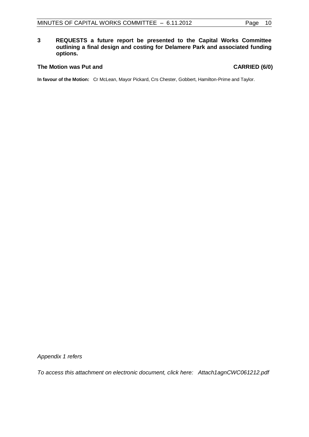# **3 REQUESTS a future report be presented to the Capital Works Committee outlining a final design and costing for Delamere Park and associated funding options.**

# The Motion was Put and **CARRIED** (6/0)

**In favour of the Motion:** Cr McLean, Mayor Pickard, Crs Chester, Gobbert, Hamilton-Prime and Taylor.

*Appendix 1 refers*

*To access this attachment on electronic document, click here: <Attach1agnCWC061212.pdf>*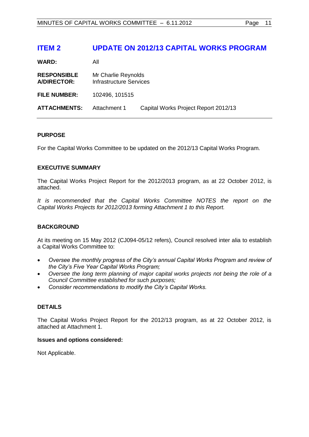# <span id="page-10-0"></span>**ITEM 2 UPDATE ON 2012/13 CAPITAL WORKS PROGRAM**

**WARD:** All

| <b>RESPONSIBLE</b><br>A/DIRECTOR: | Mr Charlie Reynolds<br>Infrastructure Services |                                      |
|-----------------------------------|------------------------------------------------|--------------------------------------|
| <b>FILE NUMBER:</b>               | 102496, 101515                                 |                                      |
| <b>ATTACHMENTS:</b>               | Attachment 1                                   | Capital Works Project Report 2012/13 |

### **PURPOSE**

For the Capital Works Committee to be updated on the 2012/13 Capital Works Program.

# **EXECUTIVE SUMMARY**

The Capital Works Project Report for the 2012/2013 program, as at 22 October 2012, is attached.

*It is recommended that the Capital Works Committee NOTES the report on the Capital Works Projects for 2012/2013 forming Attachment 1 to this Report.*

# **BACKGROUND**

At its meeting on 15 May 2012 (CJ094-05/12 refers), Council resolved inter alia to establish a Capital Works Committee to:

- *Oversee the monthly progress of the City's annual Capital Works Program and review of the City's Five Year Capital Works Program;*
- *Oversee the long term planning of major capital works projects not being the role of a Council Committee established for such purposes;*
- *Consider recommendations to modify the City's Capital Works.*

# **DETAILS**

The Capital Works Project Report for the 2012/13 program, as at 22 October 2012, is attached at Attachment 1.

#### **Issues and options considered:**

Not Applicable.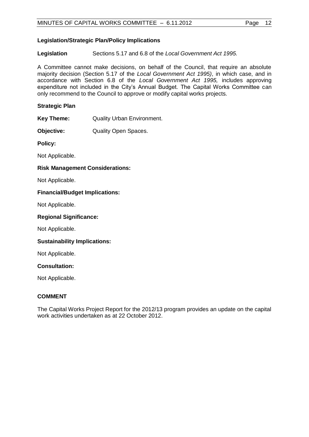# **Legislation/Strategic Plan/Policy Implications**

**Legislation** Sections 5.17 and 6.8 of the *Local Government Act 1995.*

A Committee cannot make decisions, on behalf of the Council, that require an absolute majority decision (Section 5.17 of the *Local Government Act 1995)*, in which case, and in accordance with Section 6.8 of the *Local Government Act 1995,* includes approving expenditure not included in the City's Annual Budget. The Capital Works Committee can only recommend to the Council to approve or modify capital works projects.

# **Strategic Plan**

- **Key Theme:** Quality Urban Environment.
- **Objective:** Quality Open Spaces.

**Policy:**

Not Applicable.

#### **Risk Management Considerations:**

Not Applicable.

#### **Financial/Budget Implications:**

Not Applicable.

#### **Regional Significance:**

Not Applicable.

#### **Sustainability Implications:**

Not Applicable.

#### **Consultation:**

Not Applicable.

#### **COMMENT**

The Capital Works Project Report for the 2012/13 program provides an update on the capital work activities undertaken as at 22 October 2012.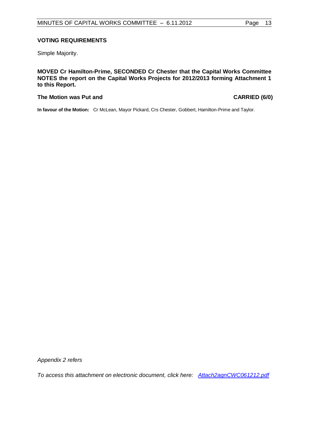### **VOTING REQUIREMENTS**

Simple Majority.

**MOVED Cr Hamilton-Prime, SECONDED Cr Chester that the Capital Works Committee NOTES the report on the Capital Works Projects for 2012/2013 forming Attachment 1 to this Report.**

### The Motion was Put and **CARRIED** (6/0)

**In favour of the Motion:** Cr McLean, Mayor Pickard, Crs Chester, Gobbert, Hamilton-Prime and Taylor.

*Appendix 2 refers*

*To access this attachment on electronic document, click here: <Attach2agnCWC061212.pdf>*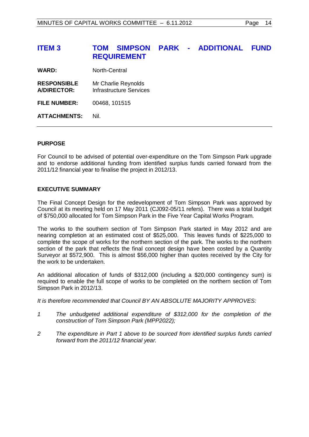# <span id="page-13-0"></span>**ITEM 3 TOM SIMPSON PARK - ADDITIONAL FUND REQUIREMENT**

**WARD:** North-Central

- **RESPONSIBLE** Mr Charlie Reynolds **A/DIRECTOR:** Infrastructure Services
- **FILE NUMBER:** 00468, 101515

**ATTACHMENTS:** Nil.

### **PURPOSE**

For Council to be advised of potential over-expenditure on the Tom Simpson Park upgrade and to endorse additional funding from identified surplus funds carried forward from the 2011/12 financial year to finalise the project in 2012/13.

# **EXECUTIVE SUMMARY**

The Final Concept Design for the redevelopment of Tom Simpson Park was approved by Council at its meeting held on 17 May 2011 (CJ092-05/11 refers). There was a total budget of \$750,000 allocated for Tom Simpson Park in the Five Year Capital Works Program.

The works to the southern section of Tom Simpson Park started in May 2012 and are nearing completion at an estimated cost of \$525,000. This leaves funds of \$225,000 to complete the scope of works for the northern section of the park. The works to the northern section of the park that reflects the final concept design have been costed by a Quantity Surveyor at \$572,900. This is almost \$56,000 higher than quotes received by the City for the work to be undertaken.

An additional allocation of funds of \$312,000 (including a \$20,000 contingency sum) is required to enable the full scope of works to be completed on the northern section of Tom Simpson Park in 2012/13.

*It is therefore recommended that Council BY AN ABSOLUTE MAJORITY APPROVES:*

- *1 The unbudgeted additional expenditure of \$312,000 for the completion of the construction of Tom Simpson Park (MPP2022);*
- *2 The expenditure in Part 1 above to be sourced from identified surplus funds carried forward from the 2011/12 financial year.*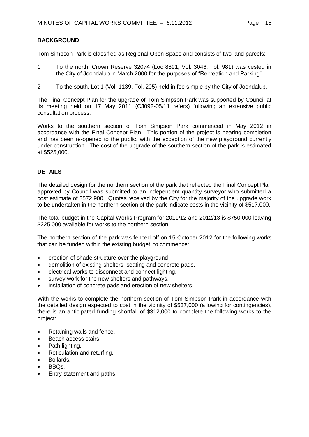# **BACKGROUND**

Tom Simpson Park is classified as Regional Open Space and consists of two land parcels:

- 1 To the north, Crown Reserve 32074 (Loc 8891, Vol. 3046, Fol. 981) was vested in the City of Joondalup in March 2000 for the purposes of "Recreation and Parking".
- 2 To the south, Lot 1 (Vol. 1139, Fol. 205) held in fee simple by the City of Joondalup.

The Final Concept Plan for the upgrade of Tom Simpson Park was supported by Council at its meeting held on 17 May 2011 (CJ092-05/11 refers) following an extensive public consultation process.

Works to the southern section of Tom Simpson Park commenced in May 2012 in accordance with the Final Concept Plan. This portion of the project is nearing completion and has been re-opened to the public, with the exception of the new playground currently under construction. The cost of the upgrade of the southern section of the park is estimated at \$525,000.

# **DETAILS**

The detailed design for the northern section of the park that reflected the Final Concept Plan approved by Council was submitted to an independent quantity surveyor who submitted a cost estimate of \$572,900. Quotes received by the City for the majority of the upgrade work to be undertaken in the northern section of the park indicate costs in the vicinity of \$517,000.

The total budget in the Capital Works Program for 2011/12 and 2012/13 is \$750,000 leaving \$225,000 available for works to the northern section.

The northern section of the park was fenced off on 15 October 2012 for the following works that can be funded within the existing budget, to commence:

- erection of shade structure over the playground.
- demolition of existing shelters, seating and concrete pads.
- electrical works to disconnect and connect lighting.
- survey work for the new shelters and pathways.
- installation of concrete pads and erection of new shelters.

With the works to complete the northern section of Tom Simpson Park in accordance with the detailed design expected to cost in the vicinity of \$537,000 (allowing for contingencies), there is an anticipated funding shortfall of \$312,000 to complete the following works to the project:

- Retaining walls and fence.
- Beach access stairs.
- Path lighting.
- Reticulation and returfing.
- Bollards.
- BBQs.
- Entry statement and paths.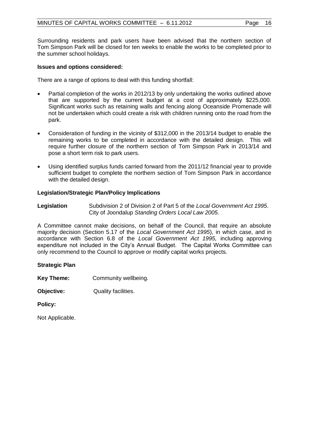Surrounding residents and park users have been advised that the northern section of Tom Simpson Park will be closed for ten weeks to enable the works to be completed prior to the summer school holidays.

### **Issues and options considered:**

There are a range of options to deal with this funding shortfall:

- Partial completion of the works in 2012/13 by only undertaking the works outlined above that are supported by the current budget at a cost of approximately \$225,000. Significant works such as retaining walls and fencing along Oceanside Promenade will not be undertaken which could create a risk with children running onto the road from the park.
- Consideration of funding in the vicinity of \$312,000 in the 2013/14 budget to enable the remaining works to be completed in accordance with the detailed design. This will require further closure of the northern section of Tom Simpson Park in 2013/14 and pose a short term risk to park users.
- Using identified surplus funds carried forward from the 2011/12 financial year to provide sufficient budget to complete the northern section of Tom Simpson Park in accordance with the detailed design.

### **Legislation/Strategic Plan/Policy Implications**

**Legislation** Subdivision 2 of Division 2 of Part 5 of the *Local Government Act 1995*. City of Joondalup *Standing Orders Local Law 2005*.

A Committee cannot make decisions, on behalf of the Council, that require an absolute majority decision (Section 5.17 of the *Local Government Act 1995*), in which case, and in accordance with Section 6.8 of the *Local Government Act 1995,* including approving expenditure not included in the City's Annual Budget. The Capital Works Committee can only recommend to the Council to approve or modify capital works projects.

# **Strategic Plan**

**Key Theme:** Community wellbeing.

**Objective:** Quality facilities.

**Policy:**

Not Applicable.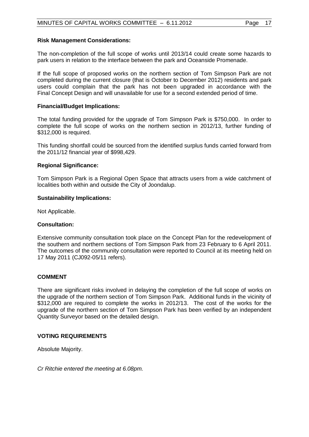## **Risk Management Considerations:**

The non-completion of the full scope of works until 2013/14 could create some hazards to park users in relation to the interface between the park and Oceanside Promenade.

If the full scope of proposed works on the northern section of Tom Simpson Park are not completed during the current closure (that is October to December 2012) residents and park users could complain that the park has not been upgraded in accordance with the Final Concept Design and will unavailable for use for a second extended period of time.

#### **Financial/Budget Implications:**

The total funding provided for the upgrade of Tom Simpson Park is \$750,000. In order to complete the full scope of works on the northern section in 2012/13, further funding of \$312,000 is required.

This funding shortfall could be sourced from the identified surplus funds carried forward from the 2011/12 financial year of \$998,429.

### **Regional Significance:**

Tom Simpson Park is a Regional Open Space that attracts users from a wide catchment of localities both within and outside the City of Joondalup.

### **Sustainability Implications:**

Not Applicable.

#### **Consultation:**

Extensive community consultation took place on the Concept Plan for the redevelopment of the southern and northern sections of Tom Simpson Park from 23 February to 6 April 2011. The outcomes of the community consultation were reported to Council at its meeting held on 17 May 2011 (CJ092-05/11 refers).

#### **COMMENT**

There are significant risks involved in delaying the completion of the full scope of works on the upgrade of the northern section of Tom Simpson Park. Additional funds in the vicinity of \$312,000 are required to complete the works in 2012/13. The cost of the works for the upgrade of the northern section of Tom Simpson Park has been verified by an independent Quantity Surveyor based on the detailed design.

#### **VOTING REQUIREMENTS**

Absolute Majority.

*Cr Ritchie entered the meeting at 6.08pm.*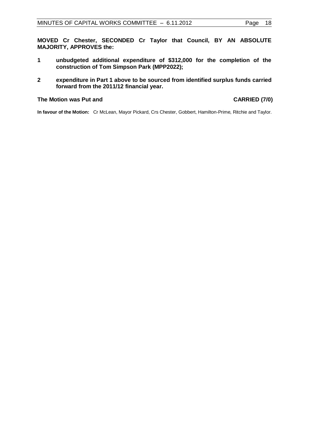**MOVED Cr Chester, SECONDED Cr Taylor that Council, BY AN ABSOLUTE MAJORITY, APPROVES the:**

- **1 unbudgeted additional expenditure of \$312,000 for the completion of the construction of Tom Simpson Park (MPP2022);**
- **2 expenditure in Part 1 above to be sourced from identified surplus funds carried forward from the 2011/12 financial year.**

#### **The Motion was Put and CARRIED (7/0)**

**In favour of the Motion:** Cr McLean, Mayor Pickard, Crs Chester, Gobbert, Hamilton-Prime, Ritchie and Taylor.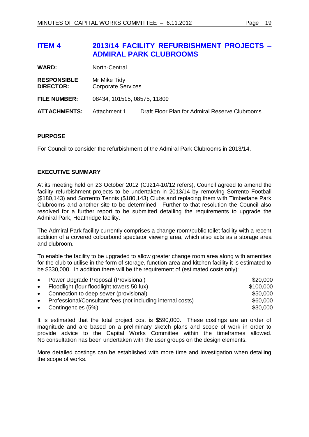# <span id="page-18-0"></span>**ITEM 4 2013/14 FACILITY REFURBISHMENT PROJECTS – ADMIRAL PARK CLUBROOMS**

| <b>WARD:</b>                           | North-Central                             |                                                |
|----------------------------------------|-------------------------------------------|------------------------------------------------|
| <b>RESPONSIBLE</b><br><b>DIRECTOR:</b> | Mr Mike Tidy<br><b>Corporate Services</b> |                                                |
| FILE NUMBER:                           | 08434, 101515, 08575, 11809               |                                                |
| <b>ATTACHMENTS:</b>                    | Attachment 1                              | Draft Floor Plan for Admiral Reserve Clubrooms |

### **PURPOSE**

For Council to consider the refurbishment of the Admiral Park Clubrooms in 2013/14.

# **EXECUTIVE SUMMARY**

At its meeting held on 23 October 2012 (CJ214-10/12 refers), Council agreed to amend the facility refurbishment projects to be undertaken in 2013/14 by removing Sorrento Football (\$180,143) and Sorrento Tennis (\$180,143) Clubs and replacing them with Timberlane Park Clubrooms and another site to be determined. Further to that resolution the Council also resolved for a further report to be submitted detailing the requirements to upgrade the Admiral Park, Heathridge facility.

The Admiral Park facility currently comprises a change room/public toilet facility with a recent addition of a covered colourbond spectator viewing area, which also acts as a storage area and clubroom.

To enable the facility to be upgraded to allow greater change room area along with amenities for the club to utilise in the form of storage, function area and kitchen facility it is estimated to be \$330,000. In addition there will be the requirement of (estimated costs only):

| $\bullet$ | Power Upgrade Proposal (Provisional)                        | \$20,000  |
|-----------|-------------------------------------------------------------|-----------|
| $\bullet$ | Floodlight (four floodlight towers 50 lux)                  | \$100,000 |
| $\bullet$ | Connection to deep sewer (provisional)                      | \$50,000  |
| $\bullet$ | Professional/Consultant fees (not including internal costs) | \$60,000  |
|           | • Contingencies $(5%)$                                      | \$30,000  |

It is estimated that the total project cost is \$590,000. These costings are an order of magnitude and are based on a preliminary sketch plans and scope of work in order to provide advice to the Capital Works Committee within the timeframes allowed. No consultation has been undertaken with the user groups on the design elements.

More detailed costings can be established with more time and investigation when detailing the scope of works.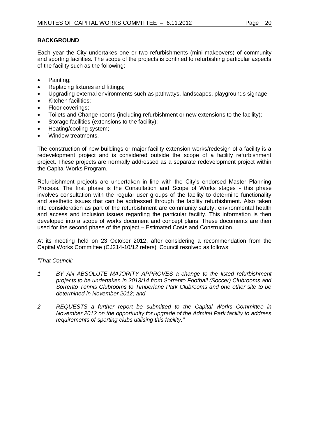# **BACKGROUND**

Each year the City undertakes one or two refurbishments (mini-makeovers) of community and sporting facilities. The scope of the projects is confined to refurbishing particular aspects of the facility such as the following:

- Painting;
- Replacing fixtures and fittings;
- Upgrading external environments such as pathways, landscapes, playgrounds signage;
- Kitchen facilities;
- Floor coverings;
- Toilets and Change rooms (including refurbishment or new extensions to the facility);
- Storage facilities (extensions to the facility);
- Heating/cooling system;
- Window treatments.

The construction of new buildings or major facility extension works/redesign of a facility is a redevelopment project and is considered outside the scope of a facility refurbishment project. These projects are normally addressed as a separate redevelopment project within the Capital Works Program.

Refurbishment projects are undertaken in line with the City's endorsed Master Planning Process. The first phase is the Consultation and Scope of Works stages - this phase involves consultation with the regular user groups of the facility to determine functionality and aesthetic issues that can be addressed through the facility refurbishment. Also taken into consideration as part of the refurbishment are community safety, environmental health and access and inclusion issues regarding the particular facility. This information is then developed into a scope of works document and concept plans. These documents are then used for the second phase of the project – Estimated Costs and Construction.

At its meeting held on 23 October 2012, after considering a recommendation from the Capital Works Committee (CJ214-10/12 refers), Council resolved as follows:

# *"That Council:*

- *1 BY AN ABSOLUTE MAJORITY APPROVES a change to the listed refurbishment projects to be undertaken in 2013/14 from Sorrento Football (Soccer) Clubrooms and Sorrento Tennis Clubrooms to Timberlane Park Clubrooms and one other site to be determined in November 2012; and*
- *2 REQUESTS a further report be submitted to the Capital Works Committee in November 2012 on the opportunity for upgrade of the Admiral Park facility to address requirements of sporting clubs utilising this facility."*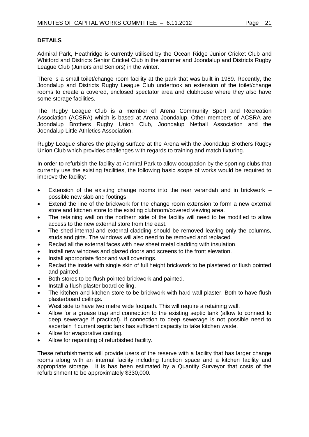# **DETAILS**

Admiral Park, Heathridge is currently utilised by the Ocean Ridge Junior Cricket Club and Whitford and Districts Senior Cricket Club in the summer and Joondalup and Districts Rugby League Club (Juniors and Seniors) in the winter.

There is a small toilet/change room facility at the park that was built in 1989. Recently, the Joondalup and Districts Rugby League Club undertook an extension of the toilet/change rooms to create a covered, enclosed spectator area and clubhouse where they also have some storage facilities.

The Rugby League Club is a member of Arena Community Sport and Recreation Association (ACSRA) which is based at Arena Joondalup. Other members of ACSRA are Joondalup Brothers Rugby Union Club, Joondalup Netball Association and the Joondalup Little Athletics Association.

Rugby League shares the playing surface at the Arena with the Joondalup Brothers Rugby Union Club which provides challenges with regards to training and match fixturing.

In order to refurbish the facility at Admiral Park to allow occupation by the sporting clubs that currently use the existing facilities, the following basic scope of works would be required to improve the facility:

- Extension of the existing change rooms into the rear verandah and in brickwork possible new slab and footings.
- Extend the line of the brickwork for the change room extension to form a new external store and kitchen store to the existing clubroom/covered viewing area.
- The retaining wall on the northern side of the facility will need to be modified to allow access to the new external store from the east.
- The shed internal and external cladding should be removed leaving only the columns, studs and girts. The windows will also need to be removed and replaced.
- Reclad all the external faces with new sheet metal cladding with insulation.
- Install new windows and glazed doors and screens to the front elevation.
- Install appropriate floor and wall coverings.
- Reclad the inside with single skin of full height brickwork to be plastered or flush pointed and painted.
- Both stores to be flush pointed brickwork and painted.
- Install a flush plaster board ceiling.
- The kitchen and kitchen store to be brickwork with hard wall plaster. Both to have flush plasterboard ceilings.
- West side to have two metre wide footpath. This will require a retaining wall.
- Allow for a grease trap and connection to the existing septic tank (allow to connect to deep sewerage if practical). If connection to deep sewerage is not possible need to ascertain if current septic tank has sufficient capacity to take kitchen waste.
- Allow for evaporative cooling.
- Allow for repainting of refurbished facility.

These refurbishments will provide users of the reserve with a facility that has larger change rooms along with an internal facility including function space and a kitchen facility and appropriate storage. It is has been estimated by a Quantity Surveyor that costs of the refurbishment to be approximately \$330,000.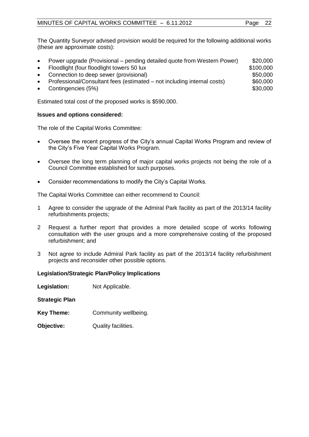The Quantity Surveyor advised provision would be required for the following additional works (these are approximate costs):

| $\bullet$ | Power upgrade (Provisional – pending detailed quote from Western Power) | \$20,000  |
|-----------|-------------------------------------------------------------------------|-----------|
| $\bullet$ | Floodlight (four floodlight towers 50 lux                               | \$100,000 |
| $\bullet$ | Connection to deep sewer (provisional)                                  | \$50,000  |
| $\bullet$ | Professional/Consultant fees (estimated – not including internal costs) | \$60,000  |
| $\bullet$ | Contingencies (5%)                                                      | \$30,000  |
|           |                                                                         |           |

Estimated total cost of the proposed works is \$590,000.

#### **Issues and options considered:**

The role of the Capital Works Committee:

- Oversee the recent progress of the City's annual Capital Works Program and review of the City's Five Year Capital Works Program.
- Oversee the long term planning of major capital works projects not being the role of a Council Committee established for such purposes.
- Consider recommendations to modify the City's Capital Works.

The Capital Works Committee can either recommend to Council:

- 1 Agree to consider the upgrade of the Admiral Park facility as part of the 2013/14 facility refurbishments projects;
- 2 Request a further report that provides a more detailed scope of works following consultation with the user groups and a more comprehensive costing of the proposed refurbishment; and
- 3 Not agree to include Admiral Park facility as part of the 2013/14 facility refurbishment projects and reconsider other possible options.

#### **Legislation/Strategic Plan/Policy Implications**

**Legislation:** Not Applicable.

**Strategic Plan**

- **Key Theme:** Community wellbeing.
- **Objective:** Quality facilities.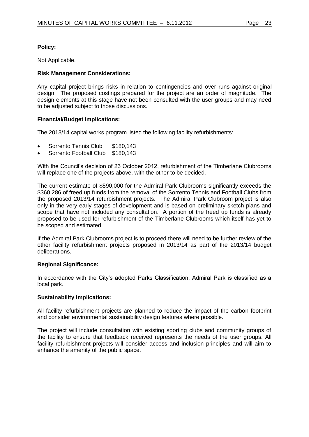# **Policy:**

Not Applicable.

# **Risk Management Considerations:**

Any capital project brings risks in relation to contingencies and over runs against original design. The proposed costings prepared for the project are an order of magnitude. The design elements at this stage have not been consulted with the user groups and may need to be adjusted subject to those discussions.

# **Financial/Budget Implications:**

The 2013/14 capital works program listed the following facility refurbishments:

- Sorrento Tennis Club \$180,143
- Sorrento Football Club \$180,143

With the Council's decision of 23 October 2012, refurbishment of the Timberlane Clubrooms will replace one of the projects above, with the other to be decided.

The current estimate of \$590,000 for the Admiral Park Clubrooms significantly exceeds the \$360,286 of freed up funds from the removal of the Sorrento Tennis and Football Clubs from the proposed 2013/14 refurbishment projects. The Admiral Park Clubroom project is also only in the very early stages of development and is based on preliminary sketch plans and scope that have not included any consultation. A portion of the freed up funds is already proposed to be used for refurbishment of the Timberlane Clubrooms which itself has yet to be scoped and estimated.

If the Admiral Park Clubrooms project is to proceed there will need to be further review of the other facility refurbishment projects proposed in 2013/14 as part of the 2013/14 budget deliberations.

# **Regional Significance:**

In accordance with the City's adopted Parks Classification, Admiral Park is classified as a local park.

# **Sustainability Implications:**

All facility refurbishment projects are planned to reduce the impact of the carbon footprint and consider environmental sustainability design features where possible.

The project will include consultation with existing sporting clubs and community groups of the facility to ensure that feedback received represents the needs of the user groups. All facility refurbishment projects will consider access and inclusion principles and will aim to enhance the amenity of the public space.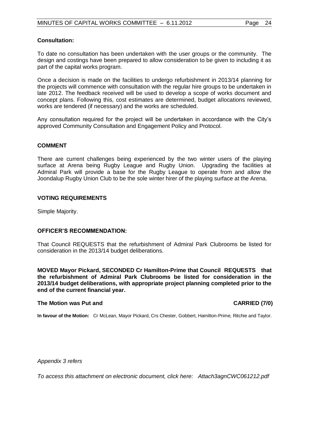# **Consultation:**

To date no consultation has been undertaken with the user groups or the community. The design and costings have been prepared to allow consideration to be given to including it as part of the capital works program.

Once a decision is made on the facilities to undergo refurbishment in 2013/14 planning for the projects will commence with consultation with the regular hire groups to be undertaken in late 2012. The feedback received will be used to develop a scope of works document and concept plans. Following this, cost estimates are determined, budget allocations reviewed, works are tendered (if necessary) and the works are scheduled.

Any consultation required for the project will be undertaken in accordance with the City's approved Community Consultation and Engagement Policy and Protocol.

### **COMMENT**

There are current challenges being experienced by the two winter users of the playing surface at Arena being Rugby League and Rugby Union. Upgrading the facilities at Admiral Park will provide a base for the Rugby League to operate from and allow the Joondalup Rugby Union Club to be the sole winter hirer of the playing surface at the Arena.

# **VOTING REQUIREMENTS**

Simple Majority.

# **OFFICER'S RECOMMENDATION:**

That Council REQUESTS that the refurbishment of Admiral Park Clubrooms be listed for consideration in the 2013/14 budget deliberations.

**MOVED Mayor Pickard, SECONDED Cr Hamilton-Prime that Council REQUESTS that the refurbishment of Admiral Park Clubrooms be listed for consideration in the 2013/14 budget deliberations, with appropriate project planning completed prior to the end of the current financial year.**

#### **The Motion was Put and CARRIED (7/0)**

**In favour of the Motion:** Cr McLean, Mayor Pickard, Crs Chester, Gobbert, Hamilton-Prime, Ritchie and Taylor.

*Appendix 3 refers*

*To access this attachment on electronic document, click here:<Attach3agnCWC061212.pdf>*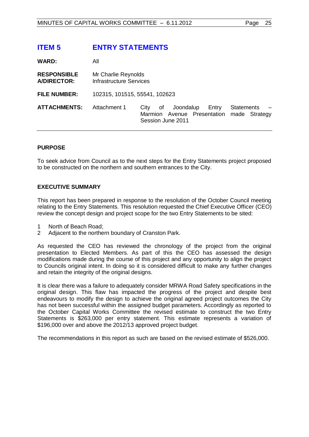# <span id="page-24-0"></span>**ITEM 5 ENTRY STATEMENTS**

| <b>WARD:</b>                             | All                                            |                                                                                      |                                    |
|------------------------------------------|------------------------------------------------|--------------------------------------------------------------------------------------|------------------------------------|
| <b>RESPONSIBLE</b><br><b>A/DIRECTOR:</b> | Mr Charlie Reynolds<br>Infrastructure Services |                                                                                      |                                    |
| <b>FILE NUMBER:</b>                      | 102315, 101515, 55541, 102623                  |                                                                                      |                                    |
| <b>ATTACHMENTS:</b>                      | Attachment 1                                   | Joondalup<br>City<br>of<br>Entry<br>Marmion Avenue Presentation<br>Session June 2011 | <b>Statements</b><br>made Strategy |

# **PURPOSE**

To seek advice from Council as to the next steps for the Entry Statements project proposed to be constructed on the northern and southern entrances to the City.

### **EXECUTIVE SUMMARY**

This report has been prepared in response to the resolution of the October Council meeting relating to the Entry Statements. This resolution requested the Chief Executive Officer (CEO) review the concept design and project scope for the two Entry Statements to be sited:

- 1 North of Beach Road;
- 2 Adjacent to the northern boundary of Cranston Park.

As requested the CEO has reviewed the chronology of the project from the original presentation to Elected Members. As part of this the CEO has assessed the design modifications made during the course of this project and any opportunity to align the project to Councils original intent. In doing so it is considered difficult to make any further changes and retain the integrity of the original designs.

It is clear there was a failure to adequately consider MRWA Road Safety specifications in the original design. This flaw has impacted the progress of the project and despite best endeavours to modify the design to achieve the original agreed project outcomes the City has not been successful within the assigned budget parameters. Accordingly as reported to the October Capital Works Committee the revised estimate to construct the two Entry Statements is \$263,000 per entry statement. This estimate represents a variation of \$196,000 over and above the 2012/13 approved project budget.

The recommendations in this report as such are based on the revised estimate of \$526,000.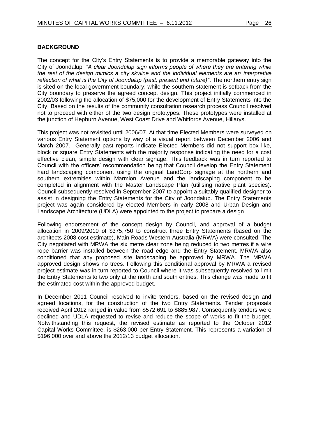# **BACKGROUND**

The concept for the City's Entry Statements is to provide a memorable gateway into the City of Joondalup*. "A clear Joondalup sign informs people of where they are entering while the rest of the design mimics a city skyline and the individual elements are an interpretive reflection of what is the City of Joondalup (past, present and future)"*. The northern entry sign is sited on the local government boundary; while the southern statement is setback from the City boundary to preserve the agreed concept design. This project initially commenced in 2002/03 following the allocation of \$75,000 for the development of Entry Statements into the City. Based on the results of the community consultation research process Council resolved not to proceed with either of the two design prototypes. These prototypes were installed at the junction of Hepburn Avenue, West Coast Drive and Whitfords Avenue, Hillarys.

This project was not revisited until 2006/07. At that time Elected Members were surveyed on various Entry Statement options by way of a visual report between December 2006 and March 2007. Generally past reports indicate Elected Members did not support box like, block or square Entry Statements with the majority response indicating the need for a cost effective clean, simple design with clear signage. This feedback was in turn reported to Council with the officers' recommendation being that Council develop the Entry Statement hard landscaping component using the original LandCorp signage at the northern and southern extremities within Marmion Avenue and the landscaping component to be completed in alignment with the Master Landscape Plan (utilising native plant species). Council subsequently resolved in September 2007 to appoint a suitably qualified designer to assist in designing the Entry Statements for the City of Joondalup. The Entry Statements project was again considered by elected Members in early 2008 and Urban Design and Landscape Architecture (UDLA) were appointed to the project to prepare a design.

Following endorsement of the concept design by Council, and approval of a budget allocation in 2009/2010 of \$375,750 to construct three Entry Statements (based on the architects 2008 cost estimate), Main Roads Western Australia (MRWA) were consulted. The City negotiated with MRWA the six metre clear zone being reduced to two metres if a wire rope barrier was installed between the road edge and the Entry Statement. MRWA also conditioned that any proposed site landscaping be approved by MRWA. The MRWA approved design shows no trees. Following this conditional approval by MRWA a revised project estimate was in turn reported to Council where it was subsequently resolved to limit the Entry Statements to two only at the north and south entries. This change was made to fit the estimated cost within the approved budget.

In December 2011 Council resolved to invite tenders, based on the revised design and agreed locations, for the construction of the two Entry Statements. Tender proposals received April 2012 ranged in value from \$572,691 to \$885,987. Consequently tenders were declined and UDLA requested to revise and reduce the scope of works to fit the budget. Notwithstanding this request, the revised estimate as reported to the October 2012 Capital Works Committee, is \$263,000 per Entry Statement. This represents a variation of \$196,000 over and above the 2012/13 budget allocation.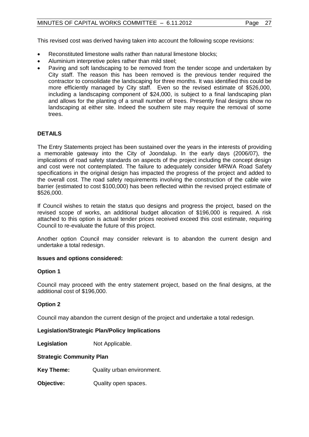This revised cost was derived having taken into account the following scope revisions:

- Reconstituted limestone walls rather than natural limestone blocks;
- Aluminium interpretive poles rather than mild steel;
- Paving and soft landscaping to be removed from the tender scope and undertaken by City staff. The reason this has been removed is the previous tender required the contractor to consolidate the landscaping for three months. It was identified this could be more efficiently managed by City staff. Even so the revised estimate of \$526,000, including a landscaping component of \$24,000, is subject to a final landscaping plan and allows for the planting of a small number of trees. Presently final designs show no landscaping at either site. Indeed the southern site may require the removal of some trees.

# **DETAILS**

The Entry Statements project has been sustained over the years in the interests of providing a memorable gateway into the City of Joondalup. In the early days (2006/07), the implications of road safety standards on aspects of the project including the concept design and cost were not contemplated. The failure to adequately consider MRWA Road Safety specifications in the original design has impacted the progress of the project and added to the overall cost. The road safety requirements involving the construction of the cable wire barrier (estimated to cost \$100,000) has been reflected within the revised project estimate of \$526,000.

If Council wishes to retain the status quo designs and progress the project, based on the revised scope of works, an additional budget allocation of \$196,000 is required. A risk attached to this option is actual tender prices received exceed this cost estimate, requiring Council to re-evaluate the future of this project.

Another option Council may consider relevant is to abandon the current design and undertake a total redesign.

# **Issues and options considered:**

# **Option 1**

Council may proceed with the entry statement project, based on the final designs, at the additional cost of \$196,000.

# **Option 2**

Council may abandon the current design of the project and undertake a total redesign.

# **Legislation/Strategic Plan/Policy Implications**

**Legislation** Not Applicable.

# **Strategic Community Plan**

**Key Theme:** Quality urban environment.

**Objective:** Quality open spaces.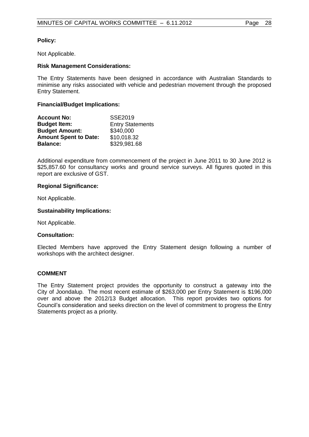# **Policy:**

Not Applicable.

### **Risk Management Considerations:**

The Entry Statements have been designed in accordance with Australian Standards to minimise any risks associated with vehicle and pedestrian movement through the proposed Entry Statement.

#### **Financial/Budget Implications:**

| <b>Account No:</b>           | SSE2019                 |
|------------------------------|-------------------------|
| <b>Budget Item:</b>          | <b>Entry Statements</b> |
| <b>Budget Amount:</b>        | \$340,000               |
| <b>Amount Spent to Date:</b> | \$10,018.32             |
| <b>Balance:</b>              | \$329,981.68            |

Additional expenditure from commencement of the project in June 2011 to 30 June 2012 is \$25,857.60 for consultancy works and ground service surveys. All figures quoted in this report are exclusive of GST.

#### **Regional Significance:**

Not Applicable.

### **Sustainability Implications:**

Not Applicable.

#### **Consultation:**

Elected Members have approved the Entry Statement design following a number of workshops with the architect designer.

#### **COMMENT**

The Entry Statement project provides the opportunity to construct a gateway into the City of Joondalup. The most recent estimate of \$263,000 per Entry Statement is \$196,000 over and above the 2012/13 Budget allocation. This report provides two options for Council's consideration and seeks direction on the level of commitment to progress the Entry Statements project as a priority.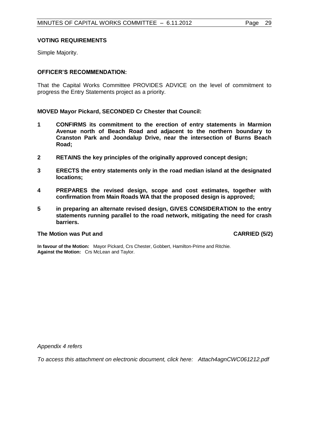#### **VOTING REQUIREMENTS**

Simple Majority.

### **OFFICER'S RECOMMENDATION:**

That the Capital Works Committee PROVIDES ADVICE on the level of commitment to progress the Entry Statements project as a priority.

**MOVED Mayor Pickard, SECONDED Cr Chester that Council:**

- **1 CONFIRMS its commitment to the erection of entry statements in Marmion Avenue north of Beach Road and adjacent to the northern boundary to Cranston Park and Joondalup Drive, near the intersection of Burns Beach Road;**
- **2 RETAINS the key principles of the originally approved concept design;**
- **3 ERECTS the entry statements only in the road median island at the designated locations;**
- **4 PREPARES the revised design, scope and cost estimates, together with confirmation from Main Roads WA that the proposed design is approved;**
- **5 in preparing an alternate revised design, GIVES CONSIDERATION to the entry statements running parallel to the road network, mitigating the need for crash barriers.**

#### **The Motion was Put and CARRIED (5/2)**

**In favour of the Motion:** Mayor Pickard, Crs Chester, Gobbert, Hamilton-Prime and Ritchie. **Against the Motion:** Crs McLean and Taylor.

*Appendix 4 refers*

*To access this attachment on electronic document, click here: <Attach4agnCWC061212.pdf>*